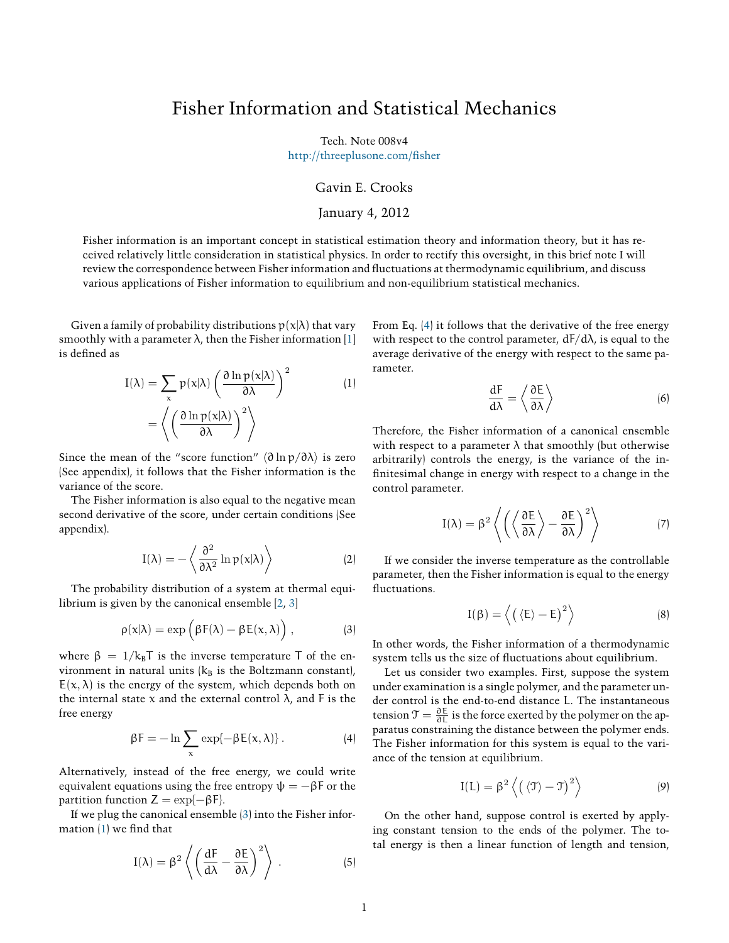# Fisher Information and Statistical Mechanics

Tech. Note 008v4

[http://threeplusone.com/àsher](http://threeplusone.com/fisher)

### Gavin E. Crooks

#### January 4, 2012

Fisher information is an important concept in statistical estimation theory and information theory, but it has received relatively little consideration in statistical physics. In order to rectify this oversight, in this brief note I will review the correspondence between Fisher information and áuctuations at thermodynamic equilibrium, and discuss various applications of Fisher information to equilibrium and non-equilibrium statistical mechanics.

Given a family of probability distributions  $p(x|\lambda)$  that vary smoothly with a parameter  $\lambda$ , then the Fisher information [\[1](#page-2-0)] is defined as

$$
I(\lambda) = \sum_{x} p(x|\lambda) \left( \frac{\partial \ln p(x|\lambda)}{\partial \lambda} \right)^2
$$
 (1)  
=  $\left\langle \left( \frac{\partial \ln p(x|\lambda)}{\partial \lambda} \right)^2 \right\rangle$ 

Since the mean of the "score function" *⟨*∂ ln p/∂λ*⟩* is zero (See appendix), it follows that the Fisher information is the variance of the score.

The Fisher information is also equal to the negative mean second derivative of the score, under certain conditions (See appendix).

$$
I(\lambda) = -\left\langle \frac{\partial^2}{\partial \lambda^2} \ln p(x|\lambda) \right\rangle
$$
 (2)

The probability distribution of a system at thermal equilibrium is given by the canonical ensemble[[2,](#page-2-1) [3\]](#page-2-2)

$$
\rho(x|\lambda) = \exp\left(\beta F(\lambda) - \beta E(x, \lambda)\right), \qquad (3)
$$

where  $\beta = 1/k_B T$  is the inverse temperature T of the environment in natural units  $(k_B$  is the Boltzmann constant),  $E(x, \lambda)$  is the energy of the system, which depends both on the internal state x and the external control  $\lambda$ , and F is the free energy

<span id="page-0-2"></span>
$$
\beta F = -\ln \sum_{x} \exp\{-\beta E(x,\lambda)\}.
$$
 (4)

Alternatively, instead of the free energy, we could write equivalent equations using the free entropy  $\psi = -\beta F$  or the partition function  $Z = \exp{-\beta F}$ .

If we plug the canonical ensemble([3\)](#page-0-0) into the Fisher information  $(1)$  we find that

$$
I(\lambda) = \beta^2 \left\langle \left( \frac{dF}{d\lambda} - \frac{\partial E}{\partial \lambda} \right)^2 \right\rangle . \tag{5}
$$

<span id="page-0-1"></span>From Eq. [\(4](#page-0-2)) it follows that the derivative of the free energy with respect to the control parameter,  $dF/d\lambda$ , is equal to the average derivative of the energy with respect to the same parameter.

$$
\frac{dF}{d\lambda} = \left\langle \frac{\partial E}{\partial \lambda} \right\rangle
$$
 (6)

Therefore, the Fisher information of a canonical ensemble with respect to a parameter  $\lambda$  that smoothly (but otherwise arbitrarily) controls the energy, is the variance of the infinitesimal change in energy with respect to a change in the control parameter.

$$
I(\lambda) = \beta^2 \left\langle \left( \left\langle \frac{\partial E}{\partial \lambda} \right\rangle - \frac{\partial E}{\partial \lambda} \right)^2 \right\rangle
$$
 (7)

If we consider the inverse temperature as the controllable parameter, then the Fisher information is equal to the energy fluctuations.

$$
I(\beta) = \left\langle \left( \langle E \rangle - E \right)^2 \right\rangle \tag{8}
$$

<span id="page-0-0"></span>In other words, the Fisher information of a thermodynamic system tells us the size of fluctuations about equilibrium.

Let us consider two examples. First, suppose the system under examination is a single polymer, and the parameter under control is the end-to-end distance L. The instantaneous tension  $\mathfrak{T} = \frac{\partial E}{\partial L}$  is the force exerted by the polymer on the apparatus constraining the distance between the polymer ends. The Fisher information for this system is equal to the variance of the tension at equilibrium.

$$
I(L) = \beta^2 \left\langle \left( \left\langle \mathfrak{T} \right\rangle - \mathfrak{T} \right)^2 \right\rangle \tag{9}
$$

On the other hand, suppose control is exerted by applying constant tension to the ends of the polymer. The total energy is then a linear function of length and tension,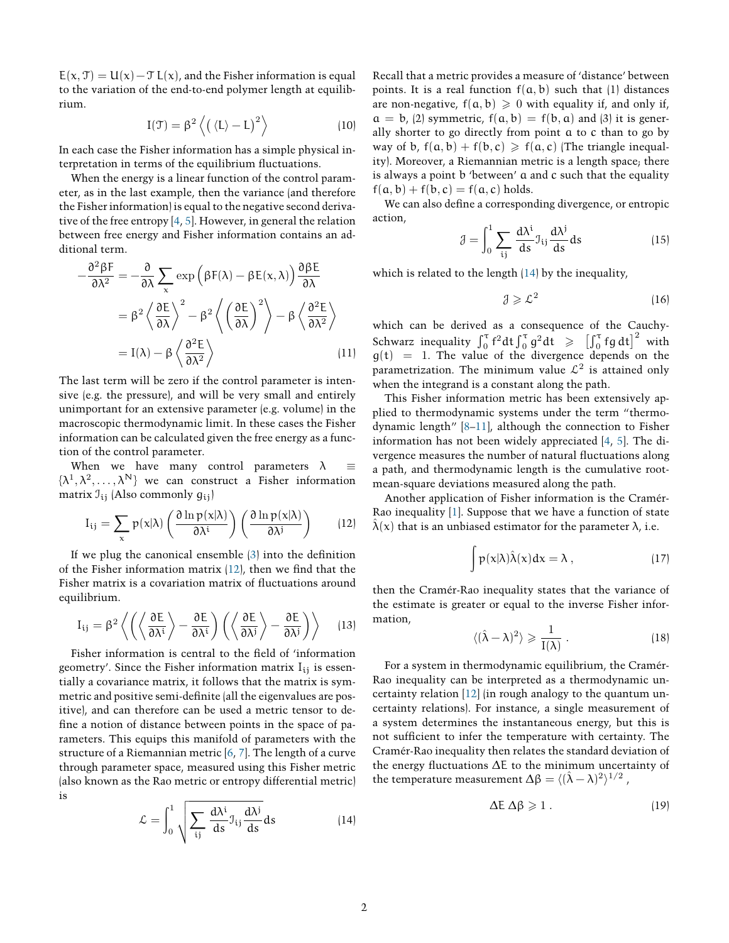$E(x, \mathcal{T}) = U(x) - \mathcal{T} L(x)$ , and the Fisher information is equal to the variation of the end-to-end polymer length at equilibrium.

$$
I(\mathfrak{T})=\beta^2\left\langle \left(\left\langle L\right\rangle -L\right)^2\right\rangle \hspace{1.5cm} (10)
$$

In each case the Fisher information has a simple physical interpretation in terms of the equilibrium fluctuations.

When the energy is a linear function of the control parameter, as in the last example, then the variance (and therefore the Fisher information) is equal to the negative second derivative of the free entropy [\[4](#page-2-3), [5\]](#page-2-4). However, in general the relation between free energy and Fisher information contains an additional term.

$$
-\frac{\partial^2 \beta F}{\partial \lambda^2} = -\frac{\partial}{\partial \lambda} \sum_{x} \exp \left( \beta F(\lambda) - \beta E(x, \lambda) \right) \frac{\partial \beta E}{\partial \lambda}
$$

$$
= \beta^2 \left\langle \frac{\partial E}{\partial \lambda} \right\rangle^2 - \beta^2 \left\langle \left( \frac{\partial E}{\partial \lambda} \right)^2 \right\rangle - \beta \left\langle \frac{\partial^2 E}{\partial \lambda^2} \right\rangle
$$

$$
= I(\lambda) - \beta \left\langle \frac{\partial^2 E}{\partial \lambda^2} \right\rangle \tag{11}
$$

The last term will be zero if the control parameter is intensive (e.g. the pressure), and will be very small and entirely unimportant for an extensive parameter (e.g. volume) in the macroscopic thermodynamic limit. In these cases the Fisher information can be calculated given the free energy as a function of the control parameter.

When we have many control parameters λ *≡*  $\{\lambda^1, \lambda^2, \ldots, \lambda^N\}$  we can construct a Fisher information matrix  $\mathcal{I}_{ij}$  (Also commonly  $g_{ij}$ )

$$
I_{ij} = \sum_{x} p(x|\lambda) \left( \frac{\partial \ln p(x|\lambda)}{\partial \lambda^{i}} \right) \left( \frac{\partial \ln p(x|\lambda)}{\partial \lambda^{j}} \right) \qquad (12)
$$

If we plug the canonical ensemble  $(3)$  into the definition ofthe Fisher information matrix  $(12)$  $(12)$ , then we find that the Fisher matrix is a covariation matrix of fluctuations around equilibrium.

$$
I_{ij} = \beta^2 \left\langle \left( \left\langle \frac{\partial E}{\partial \lambda^i} \right\rangle - \frac{\partial E}{\partial \lambda^i} \right) \left( \left\langle \frac{\partial E}{\partial \lambda^j} \right\rangle - \frac{\partial E}{\partial \lambda^j} \right) \right\rangle \tag{13}
$$

Fisher information is central to the field of 'information geometry'. Since the Fisher information matrix  $I_{ij}$  is essentially a covariance matrix, it follows that the matrix is symmetric and positive semi-definite (all the eigenvalues are positive), and can therefore can be used a metric tensor to define a notion of distance between points in the space of parameters. This equips this manifold of parameters with the structure of a Riemannian metric[[6,](#page-2-5) [7](#page-2-6)]. The length of a curve through parameter space, measured using this Fisher metric (also known as the Rao metric or entropy differential metric) is

<span id="page-1-1"></span>
$$
\mathcal{L} = \int_0^1 \sqrt{\sum_{ij} \frac{d\lambda^i}{ds} \mathcal{I}_{ij} \frac{d\lambda^j}{ds}} ds \qquad (14)
$$

Recall that a metric provides a measure of 'distance' between points. It is a real function  $f(a, b)$  such that (1) distances are non-negative,  $f(a, b) \ge 0$  with equality if, and only if,  $a = b$ , (2) symmetric,  $f(a, b) = f(b, a)$  and (3) it is generally shorter to go directly from point a to c than to go by way of b,  $f(a, b) + f(b, c) \geq f(a, c)$  (The triangle inequality). Moreover, a Riemannian metric is a length space; there is always a point b 'between' a and c such that the equality  $f(a, b) + f(b, c) = f(a, c)$  holds.

We can also define a corresponding divergence, or entropic action,

$$
\mathcal{J} = \int_0^1 \sum_{ij} \frac{d\lambda^i}{ds} \mathcal{J}_{ij} \frac{d\lambda^j}{ds} ds \qquad (15)
$$

which is related to the length [\(14](#page-1-1)) by the inequality,

$$
\mathcal{J} \geqslant \mathcal{L}^2 \tag{16}
$$

which can be derived as a consequence of the Cauchy-Schwarz inequality  $\int_0^{\tau} f^2 dt \int_0^{\tau} g^2 dt \geqslant \left[ \int_0^{\tau} fg dt \right]^2$  with  $g(t) = 1$ . The value of the divergence depends on the parametrization. The minimum value  $\mathcal{L}^2$  is attained only when the integrand is a constant along the path.

This Fisher information metric has been extensively applied to thermodynamic systems under the term "thermodynamic length"[[8](#page-2-7)[–11](#page-2-8)], although the connection to Fisher information has not been widely appreciated[[4,](#page-2-3) [5](#page-2-4)]. The divergence measures the number of natural fluctuations along a path, and thermodynamic length is the cumulative rootmean-square deviations measured along the path.

<span id="page-1-0"></span>Another application of Fisher information is the Cramér-Rao inequality[[1\]](#page-2-0). Suppose that we have a function of state  $\lambda(x)$  that is an unbiased estimator for the parameter  $\lambda$ , i.e.

$$
\int p(x|\lambda)\hat{\lambda}(x)dx = \lambda , \qquad (17)
$$

then the Cramér-Rao inequality states that the variance of the estimate is greater or equal to the inverse Fisher information,

$$
\langle (\hat{\lambda} - \lambda)^2 \rangle \geqslant \frac{1}{I(\lambda)} . \tag{18}
$$

For a system in thermodynamic equilibrium, the Cramér-Rao inequality can be interpreted as a thermodynamic uncertainty relation[[12\]](#page-2-9) (in rough analogy to the quantum uncertainty relations). For instance, a single measurement of a system determines the instantaneous energy, but this is not sufàcient to infer the temperature with certainty. The Cramér-Rao inequality then relates the standard deviation of the energy fluctuations ∆E to the minimum uncertainty of the temperature measurement  $\Delta \beta = \langle (\hat{\lambda} - \lambda)^2 \rangle^{1/2}$ ,

$$
\Delta E \, \Delta \beta \geqslant 1 \,. \tag{19}
$$